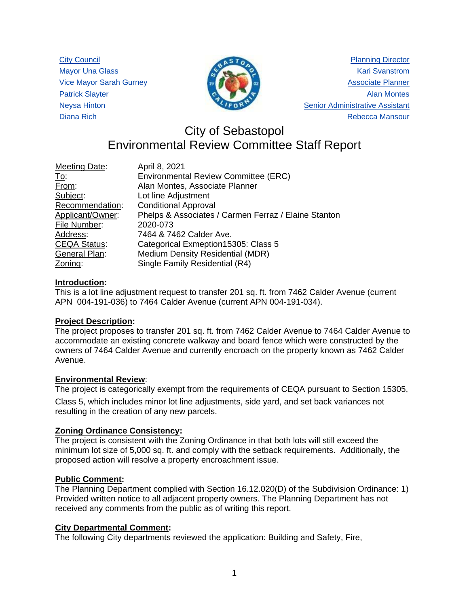City Council Mayor Una Glass Vice Mayor Sarah Gurney Patrick Slayter Neysa Hinton Diana Rich



Planning Director Kari Svanstrom Associate Planner Alan Montes Senior Administrative Assistant Rebecca Mansour

# City of Sebastopol Environmental Review Committee Staff Report

| <b>Meeting Date:</b> | April 8, 2021                                        |
|----------------------|------------------------------------------------------|
| <u>To:</u>           | Environmental Review Committee (ERC)                 |
| From:                | Alan Montes, Associate Planner                       |
| Subject:             | Lot line Adjustment                                  |
| Recommendation:      | <b>Conditional Approval</b>                          |
| Applicant/Owner:     | Phelps & Associates / Carmen Ferraz / Elaine Stanton |
| File Number:         | 2020-073                                             |
| Address:             | 7464 & 7462 Calder Ave.                              |
| <b>CEQA Status:</b>  | Categorical Exmeption 15305: Class 5                 |
| General Plan:        | Medium Density Residential (MDR)                     |
| Zoning:              | Single Family Residential (R4)                       |

# **Introduction:**

This is a lot line adjustment request to transfer 201 sq. ft. from 7462 Calder Avenue (current APN 004-191-036) to 7464 Calder Avenue (current APN 004-191-034).

# **Project Description:**

The project proposes to transfer 201 sq. ft. from 7462 Calder Avenue to 7464 Calder Avenue to accommodate an existing concrete walkway and board fence which were constructed by the owners of 7464 Calder Avenue and currently encroach on the property known as 7462 Calder Avenue.

# **Environmental Review**:

The project is categorically exempt from the requirements of CEQA pursuant to Section 15305,

Class 5, which includes minor lot line adjustments, side yard, and set back variances not resulting in the creation of any new parcels.

# **Zoning Ordinance Consistency:**

The project is consistent with the Zoning Ordinance in that both lots will still exceed the minimum lot size of 5,000 sq. ft. and comply with the setback requirements. Additionally, the proposed action will resolve a property encroachment issue.

# **Public Comment:**

The Planning Department complied with Section 16.12.020(D) of the Subdivision Ordinance: 1) Provided written notice to all adjacent property owners. The Planning Department has not received any comments from the public as of writing this report.

# **City Departmental Comment:**

The following City departments reviewed the application: Building and Safety, Fire,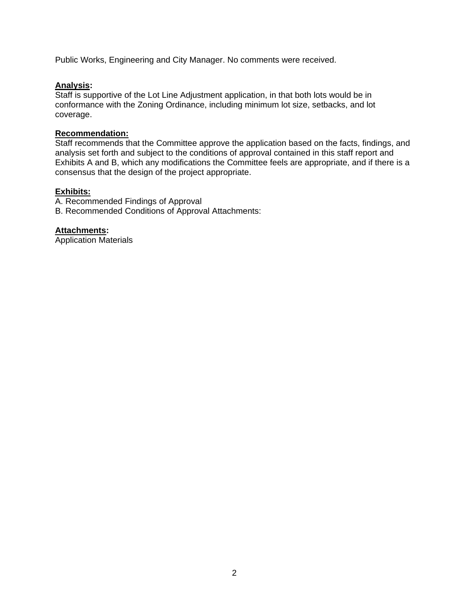Public Works, Engineering and City Manager. No comments were received.

## **Analysis:**

Staff is supportive of the Lot Line Adjustment application, in that both lots would be in conformance with the Zoning Ordinance, including minimum lot size, setbacks, and lot coverage.

#### **Recommendation:**

Staff recommends that the Committee approve the application based on the facts, findings, and analysis set forth and subject to the conditions of approval contained in this staff report and Exhibits A and B, which any modifications the Committee feels are appropriate, and if there is a consensus that the design of the project appropriate.

#### **Exhibits:**

A. Recommended Findings of Approval

B. Recommended Conditions of Approval Attachments:

# **Attachments:**

Application Materials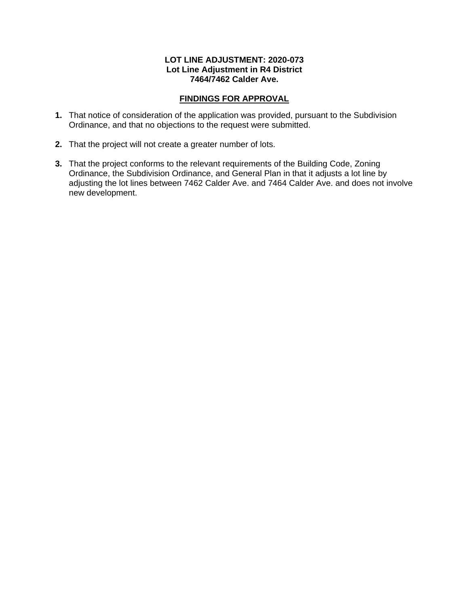#### **LOT LINE ADJUSTMENT: 2020-073 Lot Line Adjustment in R4 District 7464/7462 Calder Ave.**

# **FINDINGS FOR APPROVAL**

- **1.** That notice of consideration of the application was provided, pursuant to the Subdivision Ordinance, and that no objections to the request were submitted.
- **2.** That the project will not create a greater number of lots.
- **3.** That the project conforms to the relevant requirements of the Building Code, Zoning Ordinance, the Subdivision Ordinance, and General Plan in that it adjusts a lot line by adjusting the lot lines between 7462 Calder Ave. and 7464 Calder Ave. and does not involve new development.